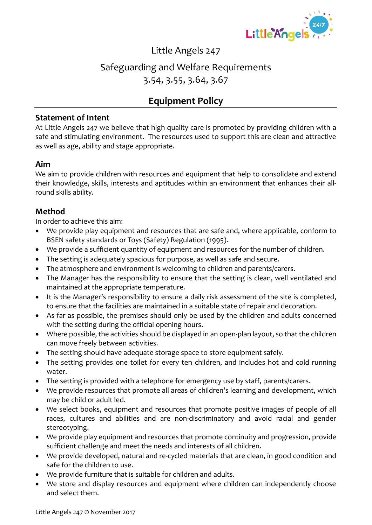

### Little Angels 247

## Safeguarding and Welfare Requirements 3.54, 3.55, 3.64, 3.67

## **Equipment Policy**

#### **Statement of Intent**

At Little Angels 247 we believe that high quality care is promoted by providing children with a safe and stimulating environment. The resources used to support this are clean and attractive as well as age, ability and stage appropriate.

#### **Aim**

We aim to provide children with resources and equipment that help to consolidate and extend their knowledge, skills, interests and aptitudes within an environment that enhances their allround skills ability.

#### **Method**

In order to achieve this aim:

- We provide play equipment and resources that are safe and, where applicable, conform to BSEN safety standards or Toys (Safety) Regulation (1995).
- We provide a sufficient quantity of equipment and resources for the number of children.
- The setting is adequately spacious for purpose, as well as safe and secure.
- The atmosphere and environment is welcoming to children and parents/carers.
- The Manager has the responsibility to ensure that the setting is clean, well ventilated and maintained at the appropriate temperature.
- It is the Manager's responsibility to ensure a daily risk assessment of the site is completed, to ensure that the facilities are maintained in a suitable state of repair and decoration.
- As far as possible, the premises should only be used by the children and adults concerned with the setting during the official opening hours.
- Where possible, the activities should be displayed in an open-plan layout, so that the children can move freely between activities.
- The setting should have adequate storage space to store equipment safely.
- The setting provides one toilet for every ten children, and includes hot and cold running water.
- The setting is provided with a telephone for emergency use by staff, parents/carers.
- We provide resources that promote all areas of children's learning and development, which may be child or adult led.
- We select books, equipment and resources that promote positive images of people of all races, cultures and abilities and are non-discriminatory and avoid racial and gender stereotyping.
- We provide play equipment and resources that promote continuity and progression, provide sufficient challenge and meet the needs and interests of all children.
- We provide developed, natural and re-cycled materials that are clean, in good condition and safe for the children to use.
- We provide furniture that is suitable for children and adults.
- We store and display resources and equipment where children can independently choose and select them.